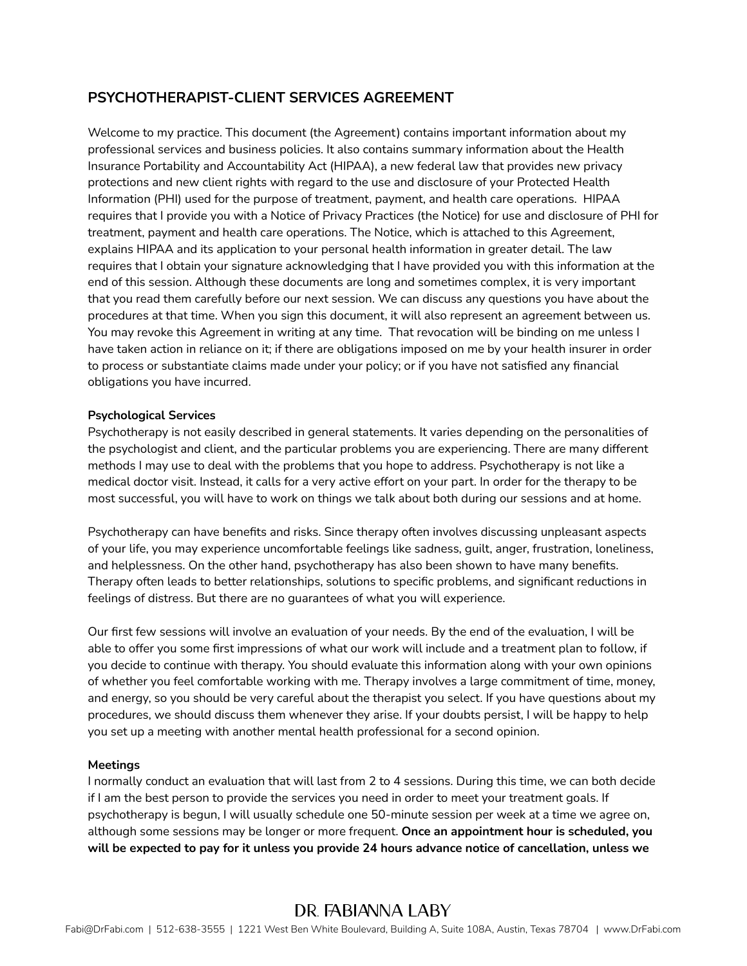## **PSYCHOTHERAPIST-CLIENT SERVICES AGREEMENT**

Welcome to my practice. This document (the Agreement) contains important information about my professional services and business policies. It also contains summary information about the Health Insurance Portability and Accountability Act (HIPAA), a new federal law that provides new privacy protections and new client rights with regard to the use and disclosure of your Protected Health Information (PHI) used for the purpose of treatment, payment, and health care operations. HIPAA requires that I provide you with a Notice of Privacy Practices (the Notice) for use and disclosure of PHI for treatment, payment and health care operations. The Notice, which is attached to this Agreement, explains HIPAA and its application to your personal health information in greater detail. The law requires that I obtain your signature acknowledging that I have provided you with this information at the end of this session. Although these documents are long and sometimes complex, it is very important that you read them carefully before our next session. We can discuss any questions you have about the procedures at that time. When you sign this document, it will also represent an agreement between us. You may revoke this Agreement in writing at any time. That revocation will be binding on me unless I have taken action in reliance on it; if there are obligations imposed on me by your health insurer in order to process or substantiate claims made under your policy; or if you have not satisfied any financial obligations you have incurred.

### **Psychological Services**

Psychotherapy is not easily described in general statements. It varies depending on the personalities of the psychologist and client, and the particular problems you are experiencing. There are many different methods I may use to deal with the problems that you hope to address. Psychotherapy is not like a medical doctor visit. Instead, it calls for a very active effort on your part. In order for the therapy to be most successful, you will have to work on things we talk about both during our sessions and at home.

Psychotherapy can have benefits and risks. Since therapy often involves discussing unpleasant aspects of your life, you may experience uncomfortable feelings like sadness, guilt, anger, frustration, loneliness, and helplessness. On the other hand, psychotherapy has also been shown to have many benefits. Therapy often leads to better relationships, solutions to specific problems, and significant reductions in feelings of distress. But there are no guarantees of what you will experience.

Our first few sessions will involve an evaluation of your needs. By the end of the evaluation, I will be able to offer you some first impressions of what our work will include and a treatment plan to follow, if you decide to continue with therapy. You should evaluate this information along with your own opinions of whether you feel comfortable working with me. Therapy involves a large commitment of time, money, and energy, so you should be very careful about the therapist you select. If you have questions about my procedures, we should discuss them whenever they arise. If your doubts persist, I will be happy to help you set up a meeting with another mental health professional for a second opinion.

#### **Meetings**

I normally conduct an evaluation that will last from 2 to 4 sessions. During this time, we can both decide if I am the best person to provide the services you need in order to meet your treatment goals. If psychotherapy is begun, I will usually schedule one 50-minute session per week at a time we agree on, although some sessions may be longer or more frequent. **Once an appointment hour is scheduled, you** will be expected to pay for it unless you provide 24 hours advance notice of cancellation, unless we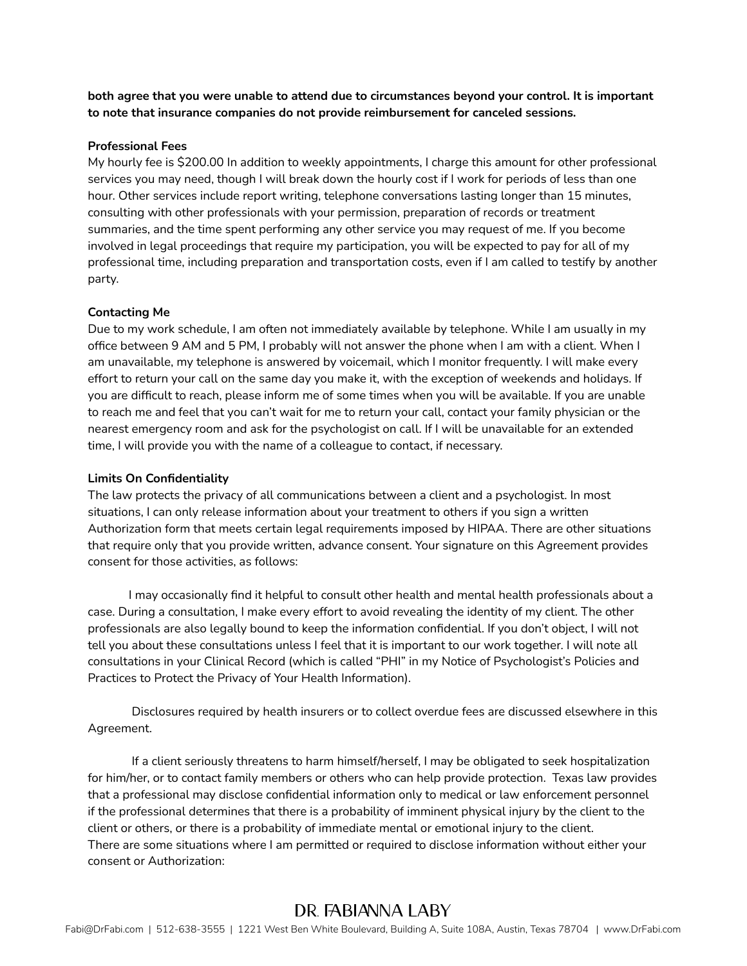**both agree that you were unable to attend due to circumstances beyond your control. It is important to note that insurance companies do not provide reimbursement for canceled sessions.**

#### **Professional Fees**

My hourly fee is \$200.00 In addition to weekly appointments, I charge this amount for other professional services you may need, though I will break down the hourly cost if I work for periods of less than one hour. Other services include report writing, telephone conversations lasting longer than 15 minutes, consulting with other professionals with your permission, preparation of records or treatment summaries, and the time spent performing any other service you may request of me. If you become involved in legal proceedings that require my participation, you will be expected to pay for all of my professional time, including preparation and transportation costs, even if I am called to testify by another party.

#### **Contacting Me**

Due to my work schedule, I am often not immediately available by telephone. While I am usually in my office between 9 AM and 5 PM, I probably will not answer the phone when I am with a client. When I am unavailable, my telephone is answered by voicemail, which I monitor frequently. I will make every effort to return your call on the same day you make it, with the exception of weekends and holidays. If you are difficult to reach, please inform me of some times when you will be available. If you are unable to reach me and feel that you can't wait for me to return your call, contact your family physician or the nearest emergency room and ask for the psychologist on call. If I will be unavailable for an extended time, I will provide you with the name of a colleague to contact, if necessary.

#### **Limits On Confidentiality**

The law protects the privacy of all communications between a client and a psychologist. In most situations, I can only release information about your treatment to others if you sign a written Authorization form that meets certain legal requirements imposed by HIPAA. There are other situations that require only that you provide written, advance consent. Your signature on this Agreement provides consent for those activities, as follows:

I may occasionally find it helpful to consult other health and mental health professionals about a case. During a consultation, I make every effort to avoid revealing the identity of my client. The other professionals are also legally bound to keep the information confidential. If you don't object, I will not tell you about these consultations unless I feel that it is important to our work together. I will note all consultations in your Clinical Record (which is called "PHI" in my Notice of Psychologist's Policies and Practices to Protect the Privacy of Your Health Information).

Disclosures required by health insurers or to collect overdue fees are discussed elsewhere in this Agreement.

If a client seriously threatens to harm himself/herself, I may be obligated to seek hospitalization for him/her, or to contact family members or others who can help provide protection. Texas law provides that a professional may disclose confidential information only to medical or law enforcement personnel if the professional determines that there is a probability of imminent physical injury by the client to the client or others, or there is a probability of immediate mental or emotional injury to the client. There are some situations where I am permitted or required to disclose information without either your consent or Authorization: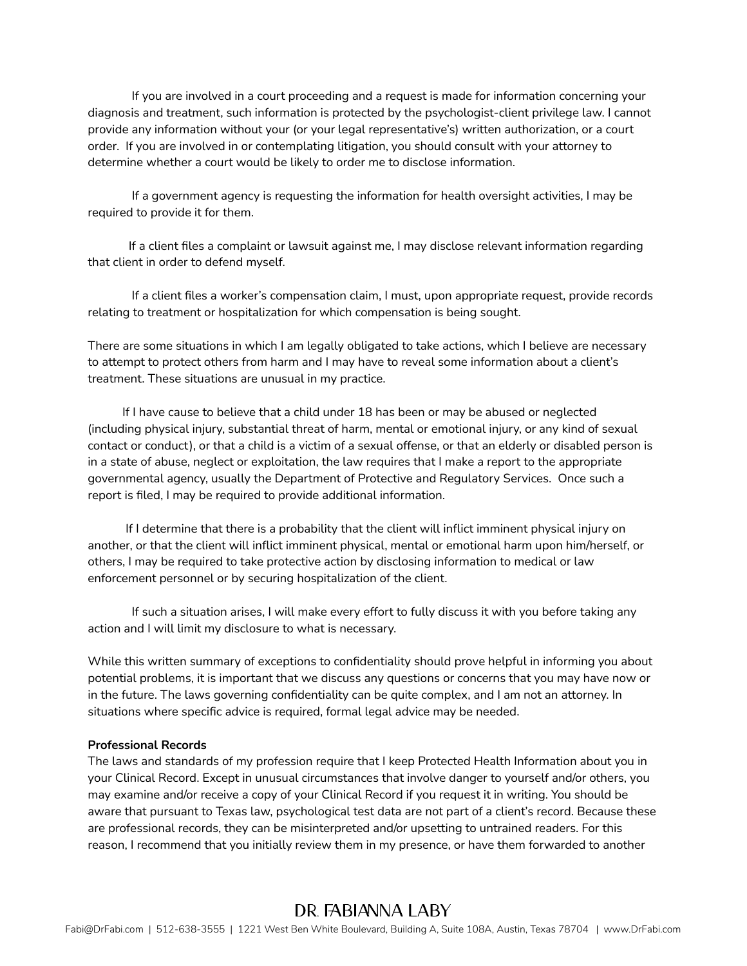If you are involved in a court proceeding and a request is made for information concerning your diagnosis and treatment, such information is protected by the psychologist-client privilege law. I cannot provide any information without your (or your legal representative's) written authorization, or a court order. If you are involved in or contemplating litigation, you should consult with your attorney to determine whether a court would be likely to order me to disclose information.

If a government agency is requesting the information for health oversight activities, I may be required to provide it for them.

If a client files a complaint or lawsuit against me, I may disclose relevant information regarding that client in order to defend myself.

If a client files a worker's compensation claim, I must, upon appropriate request, provide records relating to treatment or hospitalization for which compensation is being sought.

There are some situations in which I am legally obligated to take actions, which I believe are necessary to attempt to protect others from harm and I may have to reveal some information about a client's treatment. These situations are unusual in my practice.

If I have cause to believe that a child under 18 has been or may be abused or neglected (including physical injury, substantial threat of harm, mental or emotional injury, or any kind of sexual contact or conduct), or that a child is a victim of a sexual offense, or that an elderly or disabled person is in a state of abuse, neglect or exploitation, the law requires that I make a report to the appropriate governmental agency, usually the Department of Protective and Regulatory Services. Once such a report is filed, I may be required to provide additional information.

If I determine that there is a probability that the client will inflict imminent physical injury on another, or that the client will inflict imminent physical, mental or emotional harm upon him/herself, or others, I may be required to take protective action by disclosing information to medical or law enforcement personnel or by securing hospitalization of the client.

If such a situation arises, I will make every effort to fully discuss it with you before taking any action and I will limit my disclosure to what is necessary.

While this written summary of exceptions to confidentiality should prove helpful in informing you about potential problems, it is important that we discuss any questions or concerns that you may have now or in the future. The laws governing confidentiality can be quite complex, and I am not an attorney. In situations where specific advice is required, formal legal advice may be needed.

#### **Professional Records**

The laws and standards of my profession require that I keep Protected Health Information about you in your Clinical Record. Except in unusual circumstances that involve danger to yourself and/or others, you may examine and/or receive a copy of your Clinical Record if you request it in writing. You should be aware that pursuant to Texas law, psychological test data are not part of a client's record. Because these are professional records, they can be misinterpreted and/or upsetting to untrained readers. For this reason, I recommend that you initially review them in my presence, or have them forwarded to another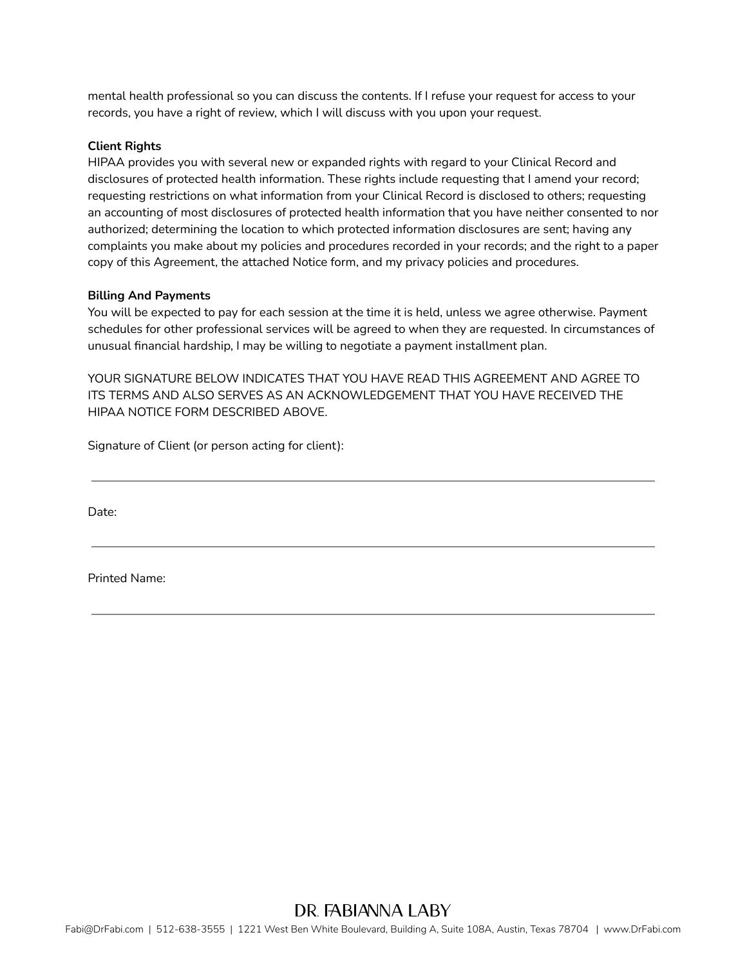mental health professional so you can discuss the contents. If I refuse your request for access to your records, you have a right of review, which I will discuss with you upon your request.

#### **Client Rights**

HIPAA provides you with several new or expanded rights with regard to your Clinical Record and disclosures of protected health information. These rights include requesting that I amend your record; requesting restrictions on what information from your Clinical Record is disclosed to others; requesting an accounting of most disclosures of protected health information that you have neither consented to nor authorized; determining the location to which protected information disclosures are sent; having any complaints you make about my policies and procedures recorded in your records; and the right to a paper copy of this Agreement, the attached Notice form, and my privacy policies and procedures.

#### **Billing And Payments**

You will be expected to pay for each session at the time it is held, unless we agree otherwise. Payment schedules for other professional services will be agreed to when they are requested. In circumstances of unusual financial hardship, I may be willing to negotiate a payment installment plan.

YOUR SIGNATURE BELOW INDICATES THAT YOU HAVE READ THIS AGREEMENT AND AGREE TO ITS TERMS AND ALSO SERVES AS AN ACKNOWLEDGEMENT THAT YOU HAVE RECEIVED THE HIPAA NOTICE FORM DESCRIBED ABOVE.

Signature of Client (or person acting for client):

Date:

Printed Name: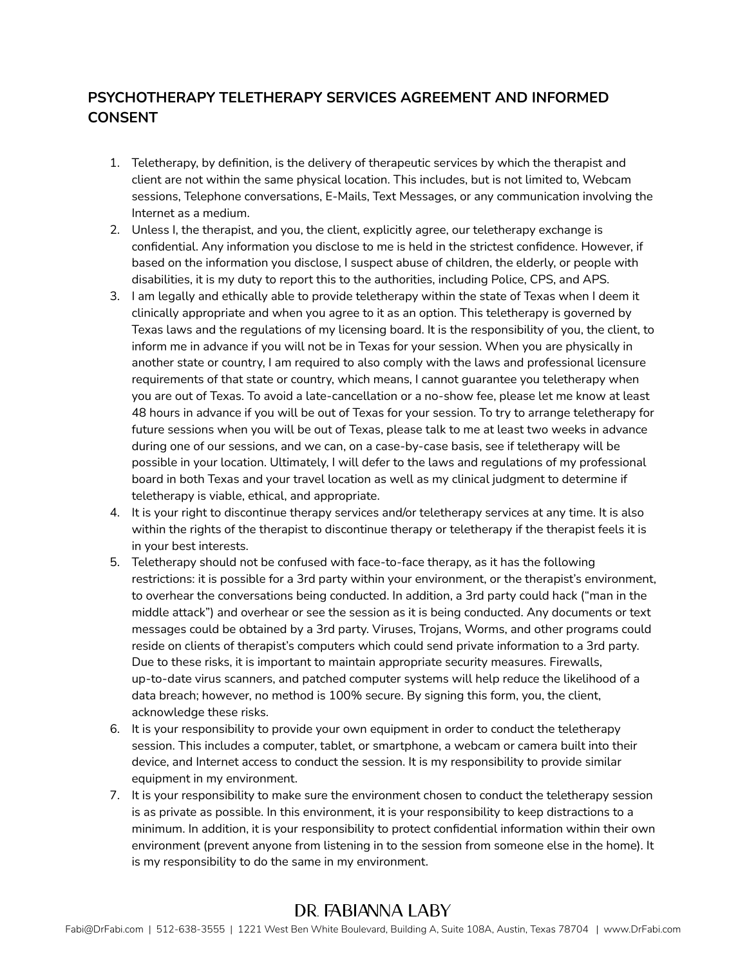# **PSYCHOTHERAPY TELETHERAPY SERVICES AGREEMENT AND INFORMED CONSENT**

- 1. Teletherapy, by definition, is the delivery of therapeutic services by which the therapist and client are not within the same physical location. This includes, but is not limited to, Webcam sessions, Telephone conversations, E-Mails, Text Messages, or any communication involving the Internet as a medium.
- 2. Unless I, the therapist, and you, the client, explicitly agree, our teletherapy exchange is confidential. Any information you disclose to me is held in the strictest confidence. However, if based on the information you disclose, I suspect abuse of children, the elderly, or people with disabilities, it is my duty to report this to the authorities, including Police, CPS, and APS.
- 3. I am legally and ethically able to provide teletherapy within the state of Texas when I deem it clinically appropriate and when you agree to it as an option. This teletherapy is governed by Texas laws and the regulations of my licensing board. It is the responsibility of you, the client, to inform me in advance if you will not be in Texas for your session. When you are physically in another state or country, I am required to also comply with the laws and professional licensure requirements of that state or country, which means, I cannot guarantee you teletherapy when you are out of Texas. To avoid a late-cancellation or a no-show fee, please let me know at least 48 hours in advance if you will be out of Texas for your session. To try to arrange teletherapy for future sessions when you will be out of Texas, please talk to me at least two weeks in advance during one of our sessions, and we can, on a case-by-case basis, see if teletherapy will be possible in your location. Ultimately, I will defer to the laws and regulations of my professional board in both Texas and your travel location as well as my clinical judgment to determine if teletherapy is viable, ethical, and appropriate.
- 4. It is your right to discontinue therapy services and/or teletherapy services at any time. It is also within the rights of the therapist to discontinue therapy or teletherapy if the therapist feels it is in your best interests.
- 5. Teletherapy should not be confused with face-to-face therapy, as it has the following restrictions: it is possible for a 3rd party within your environment, or the therapist's environment, to overhear the conversations being conducted. In addition, a 3rd party could hack ("man in the middle attack") and overhear or see the session as it is being conducted. Any documents or text messages could be obtained by a 3rd party. Viruses, Trojans, Worms, and other programs could reside on clients of therapist's computers which could send private information to a 3rd party. Due to these risks, it is important to maintain appropriate security measures. Firewalls, up-to-date virus scanners, and patched computer systems will help reduce the likelihood of a data breach; however, no method is 100% secure. By signing this form, you, the client, acknowledge these risks.
- 6. It is your responsibility to provide your own equipment in order to conduct the teletherapy session. This includes a computer, tablet, or smartphone, a webcam or camera built into their device, and Internet access to conduct the session. It is my responsibility to provide similar equipment in my environment.
- 7. It is your responsibility to make sure the environment chosen to conduct the teletherapy session is as private as possible. In this environment, it is your responsibility to keep distractions to a minimum. In addition, it is your responsibility to protect confidential information within their own environment (prevent anyone from listening in to the session from someone else in the home). It is my responsibility to do the same in my environment.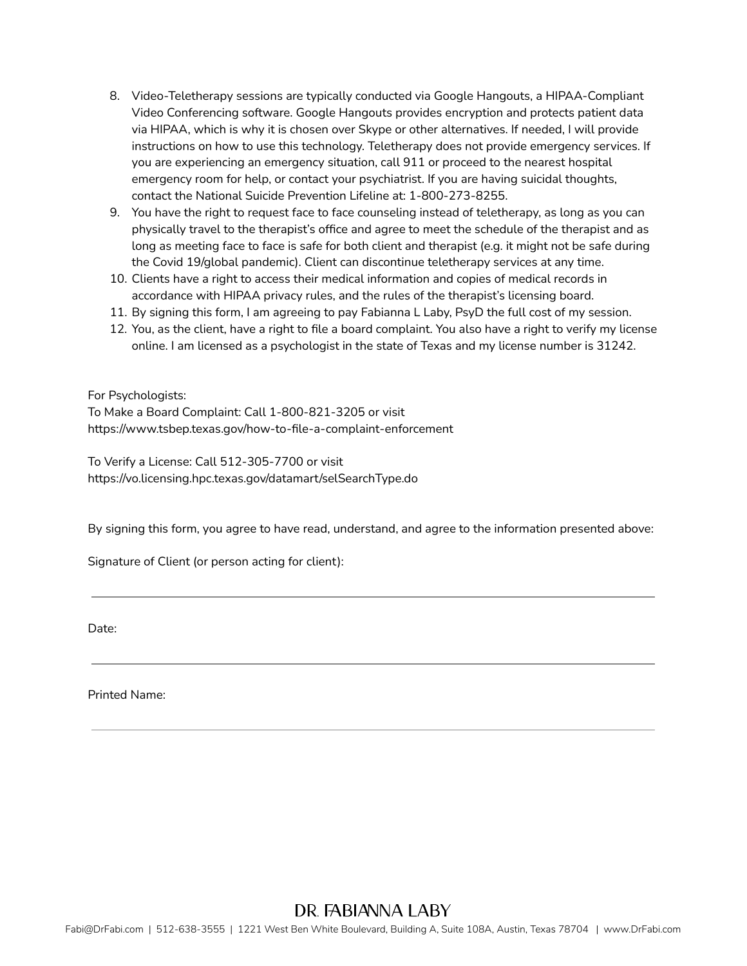- 8. Video-Teletherapy sessions are typically conducted via Google Hangouts, a HIPAA-Compliant Video Conferencing software. Google Hangouts provides encryption and protects patient data via HIPAA, which is why it is chosen over Skype or other alternatives. If needed, I will provide instructions on how to use this technology. Teletherapy does not provide emergency services. If you are experiencing an emergency situation, call 911 or proceed to the nearest hospital emergency room for help, or contact your psychiatrist. If you are having suicidal thoughts, contact the National Suicide Prevention Lifeline at: 1-800-273-8255.
- 9. You have the right to request face to face counseling instead of teletherapy, as long as you can physically travel to the therapist's office and agree to meet the schedule of the therapist and as long as meeting face to face is safe for both client and therapist (e.g. it might not be safe during the Covid 19/global pandemic). Client can discontinue teletherapy services at any time.
- 10. Clients have a right to access their medical information and copies of medical records in accordance with HIPAA privacy rules, and the rules of the therapist's licensing board.
- 11. By signing this form, I am agreeing to pay Fabianna L Laby, PsyD the full cost of my session.
- 12. You, as the client, have a right to file a board complaint. You also have a right to verify my license online. I am licensed as a psychologist in the state of Texas and my license number is 31242.

For Psychologists: To Make a Board Complaint: Call 1-800-821-3205 or visit https://www.tsbep.texas.gov/how-to-file-a-complaint-enforcement

To Verify a License: Call 512-305-7700 or visit https://vo.licensing.hpc.texas.gov/datamart/selSearchType.do

By signing this form, you agree to have read, understand, and agree to the information presented above:

Signature of Client (or person acting for client):

Date:

Printed Name:

# DR. FABIANNA LABY

Fabi@DrFabi.com | 512-638-3555 | 1221 West Ben White Boulevard, Building A, Suite 108A, Austin, Texas 78704 | www.DrFabi.com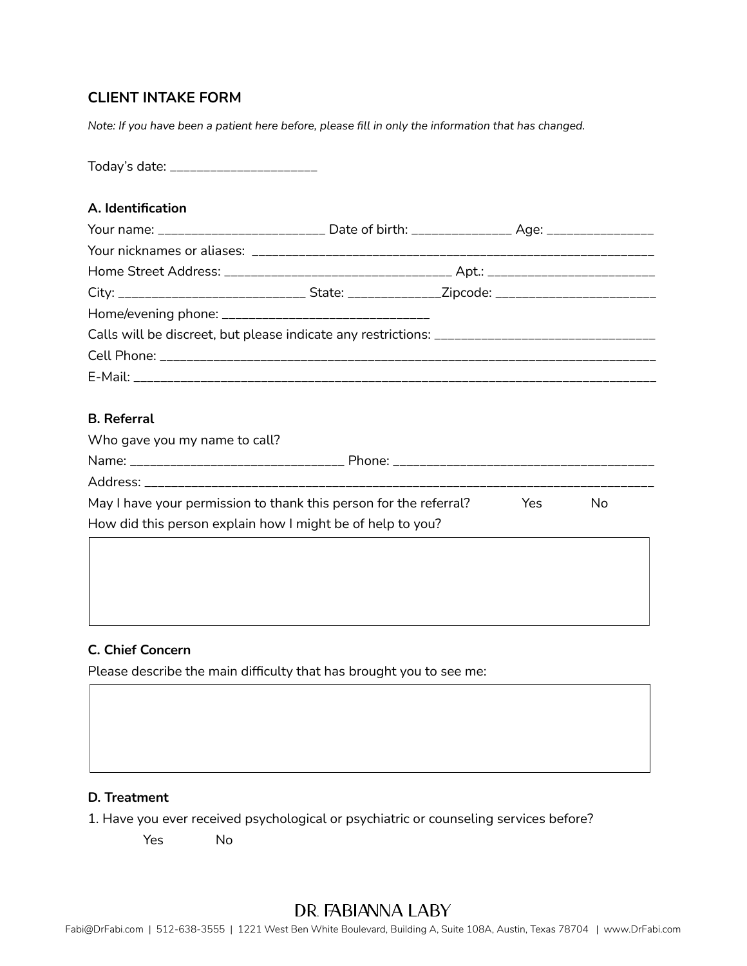## **CLIENT INTAKE FORM**

Note: If you have been a patient here before, please fill in only the information that has changed.

|  | Today's date: ________________ |
|--|--------------------------------|
|--|--------------------------------|

### **A. Identification**

| Your name: _________________________ Date of birth: ________________ Age: _________________         |  |  |
|-----------------------------------------------------------------------------------------------------|--|--|
|                                                                                                     |  |  |
|                                                                                                     |  |  |
| City: _________________________________State: _______________Zipcode: _____________________________ |  |  |
| Home/evening phone: __________________________________                                              |  |  |
|                                                                                                     |  |  |
|                                                                                                     |  |  |
|                                                                                                     |  |  |

### **B. Referral**

| Who gave you my name to call?                                     |      |     |
|-------------------------------------------------------------------|------|-----|
|                                                                   |      |     |
|                                                                   |      |     |
| May I have your permission to thank this person for the referral? | Yes. | No. |
| How did this person explain how I might be of help to you?        |      |     |
|                                                                   |      |     |

 $\Box$  , and the contribution of the contribution of the contribution of the contribution of the contribution of  $\Box$  , and the contribution of the contribution of the contribution of the contribution of the contribution of  $\Box$  , and the contribution of the contribution of the contribution of the contribution of the contribution of

 $\Box$  , and the contribution of the contribution of the contribution of the contribution of the contribution of  $\Box$  , and the contribution of the contribution of the contribution of the contribution of the contribution of  $\Box$  , and the contribution of the contribution of the contribution of the contribution of the contribution of  $\Box$  , and the contribution of the contribution of the contribution of the contribution of the contribution of

## **C. Chief Concern**

Please describe the main difficulty that has brought you to see me:

### **D. Treatment**

1. Have you ever received psychological or psychiatric or counseling services before?

Yes No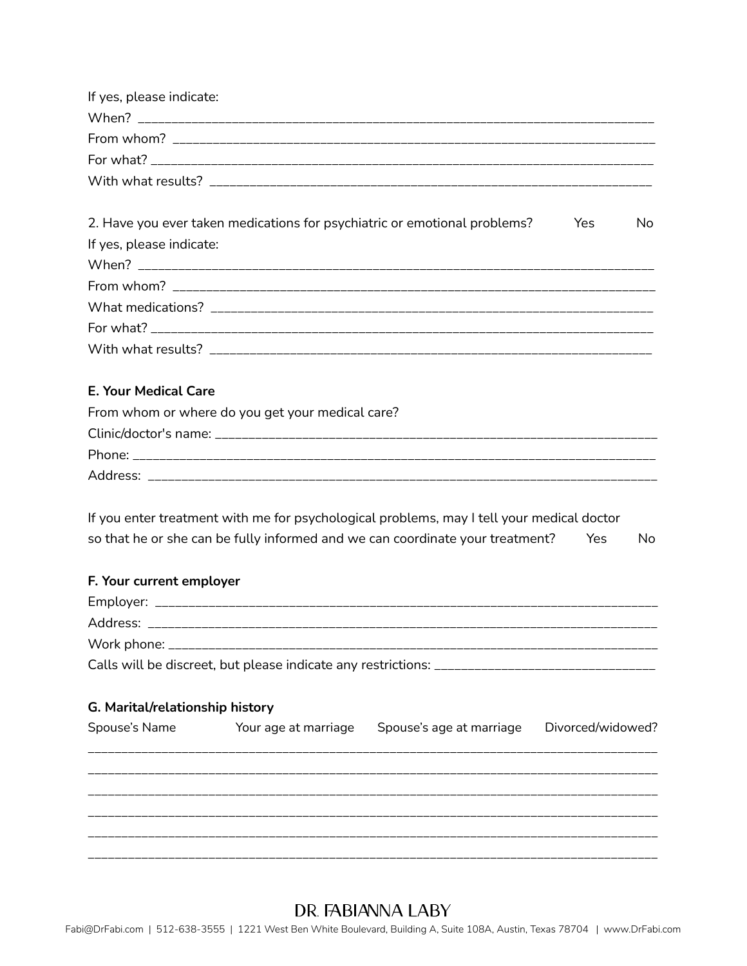| If yes, please indicate:        |                                                  |                                                                                           |                   |
|---------------------------------|--------------------------------------------------|-------------------------------------------------------------------------------------------|-------------------|
|                                 |                                                  |                                                                                           |                   |
|                                 |                                                  |                                                                                           |                   |
|                                 |                                                  |                                                                                           |                   |
|                                 |                                                  |                                                                                           |                   |
|                                 |                                                  | 2. Have you ever taken medications for psychiatric or emotional problems?                 | No<br>Yes         |
| If yes, please indicate:        |                                                  |                                                                                           |                   |
|                                 |                                                  |                                                                                           |                   |
|                                 |                                                  |                                                                                           |                   |
|                                 |                                                  |                                                                                           |                   |
|                                 |                                                  |                                                                                           |                   |
|                                 |                                                  |                                                                                           |                   |
| <b>E. Your Medical Care</b>     |                                                  |                                                                                           |                   |
|                                 | From whom or where do you get your medical care? |                                                                                           |                   |
|                                 |                                                  |                                                                                           |                   |
|                                 |                                                  |                                                                                           |                   |
|                                 |                                                  |                                                                                           |                   |
|                                 |                                                  |                                                                                           |                   |
|                                 |                                                  | If you enter treatment with me for psychological problems, may I tell your medical doctor |                   |
|                                 |                                                  | so that he or she can be fully informed and we can coordinate your treatment?             | No<br>Yes         |
| F. Your current employer        |                                                  |                                                                                           |                   |
|                                 |                                                  |                                                                                           |                   |
|                                 |                                                  |                                                                                           |                   |
|                                 |                                                  |                                                                                           |                   |
|                                 |                                                  | Calls will be discreet, but please indicate any restrictions: __________________________  |                   |
| G. Marital/relationship history |                                                  |                                                                                           |                   |
| Spouse's Name                   | Your age at marriage                             | Spouse's age at marriage                                                                  | Divorced/widowed? |
|                                 |                                                  |                                                                                           |                   |
|                                 |                                                  |                                                                                           |                   |
|                                 |                                                  |                                                                                           |                   |
|                                 |                                                  |                                                                                           |                   |
|                                 |                                                  |                                                                                           |                   |

# DR. FABIANNA LABY

Fabi@DrFabi.com | 512-638-3555 | 1221 West Ben White Boulevard, Building A, Suite 108A, Austin, Texas 78704 | www.DrFabi.com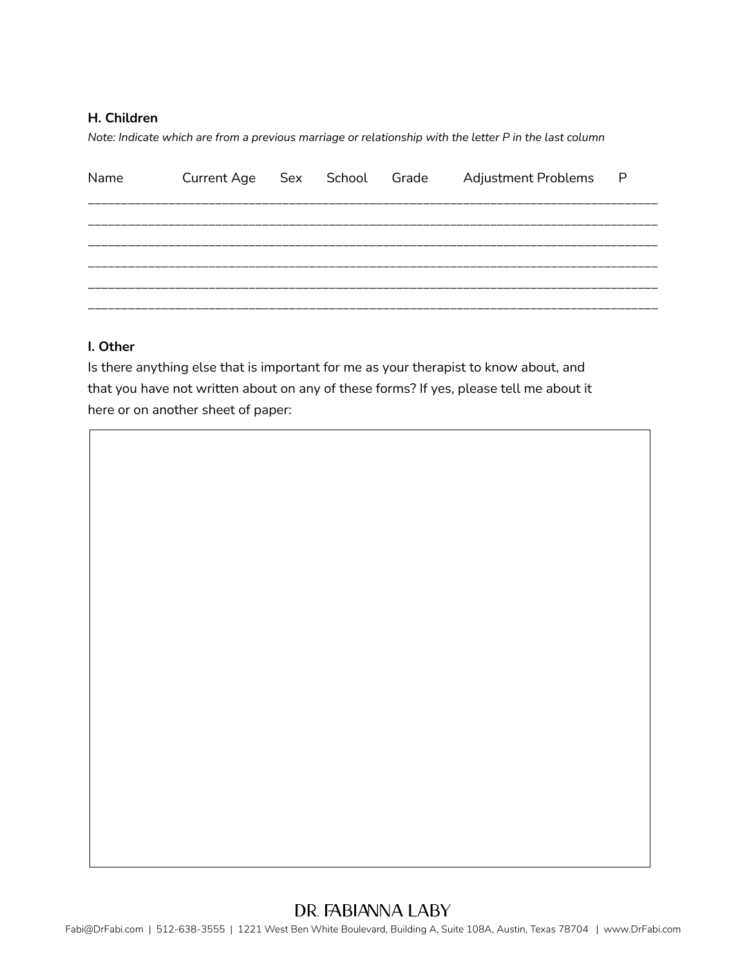### H. Children

Note: Indicate which are from a previous marriage or relationship with the letter P in the last column

|  |  | Name Current Age Sex School Grade Adjustment Problems P |  |
|--|--|---------------------------------------------------------|--|
|  |  |                                                         |  |
|  |  |                                                         |  |
|  |  |                                                         |  |
|  |  |                                                         |  |

### I. Other

Is there anything else that is important for me as your therapist to know about, and that you have not written about on any of these forms? If yes, please tell me about it here or on another sheet of paper: